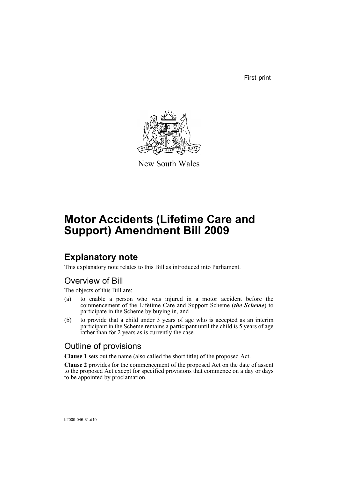First print



New South Wales

# **Motor Accidents (Lifetime Care and Support) Amendment Bill 2009**

### **Explanatory note**

This explanatory note relates to this Bill as introduced into Parliament.

### Overview of Bill

The objects of this Bill are:

- (a) to enable a person who was injured in a motor accident before the commencement of the Lifetime Care and Support Scheme (*the Scheme*) to participate in the Scheme by buying in, and
- (b) to provide that a child under 3 years of age who is accepted as an interim participant in the Scheme remains a participant until the child is 5 years of age rather than for 2 years as is currently the case.

### Outline of provisions

**Clause 1** sets out the name (also called the short title) of the proposed Act.

**Clause 2** provides for the commencement of the proposed Act on the date of assent to the proposed Act except for specified provisions that commence on a day or days to be appointed by proclamation.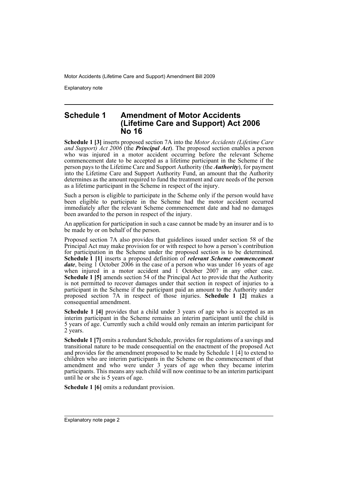Explanatory note

#### **Schedule 1 Amendment of Motor Accidents (Lifetime Care and Support) Act 2006 No 16**

**Schedule 1 [3]** inserts proposed section 7A into the *Motor Accidents (Lifetime Care and Support) Act 2006* (the *Principal Act*). The proposed section enables a person who was injured in a motor accident occurring before the relevant Scheme commencement date to be accepted as a lifetime participant in the Scheme if the person pays to the Lifetime Care and Support Authority (the *Authority*), for payment into the Lifetime Care and Support Authority Fund, an amount that the Authority determines as the amount required to fund the treatment and care needs of the person as a lifetime participant in the Scheme in respect of the injury.

Such a person is eligible to participate in the Scheme only if the person would have been eligible to participate in the Scheme had the motor accident occurred immediately after the relevant Scheme commencement date and had no damages been awarded to the person in respect of the injury.

An application for participation in such a case cannot be made by an insurer and is to be made by or on behalf of the person.

Proposed section 7A also provides that guidelines issued under section 58 of the Principal Act may make provision for or with respect to how a person's contribution for participation in the Scheme under the proposed section is to be determined. **Schedule 1 [1]** inserts a proposed definition of *relevant Scheme commencement date*, being 1 October 2006 in the case of a person who was under 16 years of age when injured in a motor accident and 1 October 2007 in any other case. **Schedule 1 [5]** amends section 54 of the Principal Act to provide that the Authority is not permitted to recover damages under that section in respect of injuries to a participant in the Scheme if the participant paid an amount to the Authority under proposed section 7A in respect of those injuries. **Schedule 1 [2]** makes a consequential amendment.

**Schedule 1 [4]** provides that a child under 3 years of age who is accepted as an interim participant in the Scheme remains an interim participant until the child is 5 years of age. Currently such a child would only remain an interim participant for 2 years.

**Schedule 1 [7]** omits a redundant Schedule, provides for regulations of a savings and transitional nature to be made consequential on the enactment of the proposed Act and provides for the amendment proposed to be made by Schedule 1  $\vec{[4]}$  to extend to children who are interim participants in the Scheme on the commencement of that amendment and who were under 3 years of age when they became interim participants. This means any such child will now continue to be an interim participant until he or she is 5 years of age.

**Schedule 1 [6]** omits a redundant provision.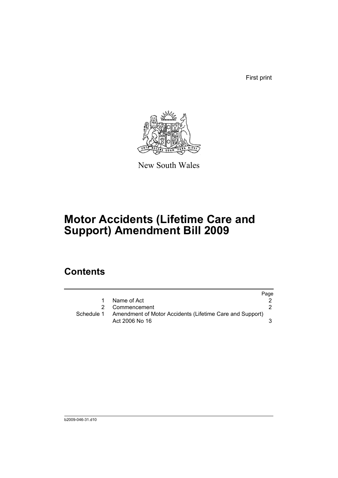First print



New South Wales

# **Motor Accidents (Lifetime Care and Support) Amendment Bill 2009**

## **Contents**

|            |                                                                            | Page |
|------------|----------------------------------------------------------------------------|------|
|            | Name of Act                                                                |      |
|            | 2 Commencement                                                             |      |
| Schedule 1 | Amendment of Motor Accidents (Lifetime Care and Support)<br>Act 2006 No 16 |      |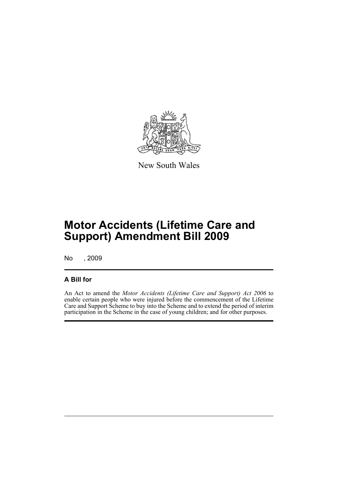

New South Wales

## **Motor Accidents (Lifetime Care and Support) Amendment Bill 2009**

No , 2009

### **A Bill for**

An Act to amend the *Motor Accidents (Lifetime Care and Support) Act 2006* to enable certain people who were injured before the commencement of the Lifetime Care and Support Scheme to buy into the Scheme and to extend the period of interim participation in the Scheme in the case of young children; and for other purposes.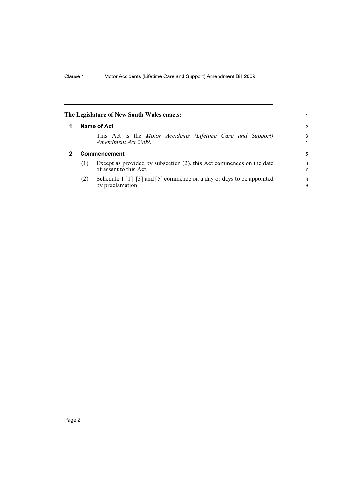<span id="page-5-1"></span><span id="page-5-0"></span>

|   |              | The Legislature of New South Wales enacts:                                                                                   | 1                            |
|---|--------------|------------------------------------------------------------------------------------------------------------------------------|------------------------------|
| 1 | Name of Act  |                                                                                                                              |                              |
|   |              | This Act is the Motor Accidents (Lifetime Care and Support)<br>Amendment Act 2009.                                           | 3<br>$\overline{\mathbf{4}}$ |
| 2 | Commencement |                                                                                                                              |                              |
|   | (1)          | Except as provided by subsection (2), this Act commences on the date<br>of assent to this Act.                               | 6<br>7                       |
|   | (2)          | Schedule $1\left[1\right]-\left[3\right]$ and $\left[5\right]$ commence on a day or days to be appointed<br>by proclamation. | 8<br>9                       |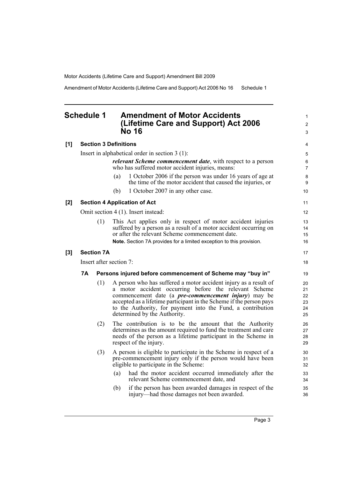Amendment of Motor Accidents (Lifetime Care and Support) Act 2006 No 16 Schedule 1

### <span id="page-6-0"></span>**Schedule 1 Amendment of Motor Accidents (Lifetime Care and Support) Act 2006 No 16**

| [1] |                                                  |                   | <b>Section 3 Definitions</b>                                                                                                                                                                                                                                                                                                                                    | 4                                |
|-----|--------------------------------------------------|-------------------|-----------------------------------------------------------------------------------------------------------------------------------------------------------------------------------------------------------------------------------------------------------------------------------------------------------------------------------------------------------------|----------------------------------|
|     | Insert in alphabetical order in section $3(1)$ : |                   |                                                                                                                                                                                                                                                                                                                                                                 |                                  |
|     |                                                  |                   | <i>relevant Scheme commencement date, with respect to a person</i><br>who has suffered motor accident injuries, means:                                                                                                                                                                                                                                          | 6<br>$\overline{7}$              |
|     |                                                  |                   | 1 October 2006 if the person was under 16 years of age at<br>(a)<br>the time of the motor accident that caused the injuries, or                                                                                                                                                                                                                                 | 8<br>9                           |
|     |                                                  |                   | 1 October 2007 in any other case.<br>(b)                                                                                                                                                                                                                                                                                                                        | 10                               |
| [2] |                                                  |                   | <b>Section 4 Application of Act</b>                                                                                                                                                                                                                                                                                                                             | 11                               |
|     | Omit section 4 (1). Insert instead:              |                   |                                                                                                                                                                                                                                                                                                                                                                 |                                  |
|     |                                                  | (1)               | This Act applies only in respect of motor accident injuries<br>suffered by a person as a result of a motor accident occurring on<br>or after the relevant Scheme commencement date.<br>Note. Section 7A provides for a limited exception to this provision.                                                                                                     | 13<br>14<br>15<br>16             |
| [3] |                                                  | <b>Section 7A</b> |                                                                                                                                                                                                                                                                                                                                                                 | 17                               |
|     | Insert after section 7:                          |                   |                                                                                                                                                                                                                                                                                                                                                                 | 18                               |
|     | 7A                                               |                   | Persons injured before commencement of Scheme may "buy in"                                                                                                                                                                                                                                                                                                      | 19                               |
|     |                                                  | (1)               | A person who has suffered a motor accident injury as a result of<br>a motor accident occurring before the relevant Scheme<br>commencement date (a <i>pre-commencement injury</i> ) may be<br>accepted as a lifetime participant in the Scheme if the person pays<br>to the Authority, for payment into the Fund, a contribution<br>determined by the Authority. | 20<br>21<br>22<br>23<br>24<br>25 |
|     |                                                  | (2)               | The contribution is to be the amount that the Authority<br>determines as the amount required to fund the treatment and care<br>needs of the person as a lifetime participant in the Scheme in<br>respect of the injury.                                                                                                                                         | 26<br>27<br>28<br>29             |
|     |                                                  | (3)               | A person is eligible to participate in the Scheme in respect of a<br>pre-commencement injury only if the person would have been<br>eligible to participate in the Scheme:                                                                                                                                                                                       | 30<br>31<br>32                   |
|     |                                                  |                   | had the motor accident occurred immediately after the<br>(a)<br>relevant Scheme commencement date, and                                                                                                                                                                                                                                                          | 33<br>34                         |
|     |                                                  |                   | (b)<br>if the person has been awarded damages in respect of the<br>injury—had those damages not been awarded.                                                                                                                                                                                                                                                   | 35<br>36                         |

1 2 3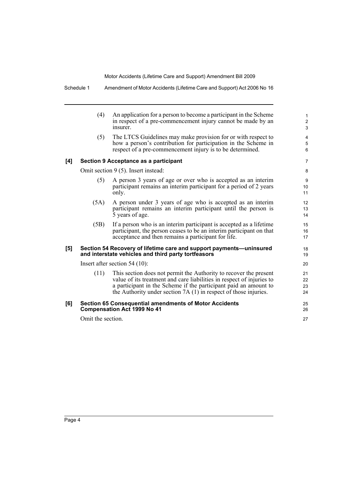|     | (4)                             | An application for a person to become a participant in the Scheme<br>in respect of a pre-commencement injury cannot be made by an<br>insurer.                                                                                                                                       | 1<br>$\overline{\mathbf{c}}$<br>3 |
|-----|---------------------------------|-------------------------------------------------------------------------------------------------------------------------------------------------------------------------------------------------------------------------------------------------------------------------------------|-----------------------------------|
|     | (5)                             | The LTCS Guidelines may make provision for or with respect to<br>how a person's contribution for participation in the Scheme in<br>respect of a pre-commencement injury is to be determined.                                                                                        | 4<br>5<br>6                       |
| [4] |                                 | Section 9 Acceptance as a participant                                                                                                                                                                                                                                               | 7                                 |
|     |                                 | Omit section 9 (5). Insert instead:                                                                                                                                                                                                                                                 | 8                                 |
|     | (5)                             | A person 3 years of age or over who is accepted as an interim<br>participant remains an interim participant for a period of 2 years<br>only.                                                                                                                                        | 9<br>10<br>11                     |
|     | (5A)                            | A person under 3 years of age who is accepted as an interim<br>participant remains an interim participant until the person is<br>5 years of age.                                                                                                                                    | 12<br>13<br>14                    |
|     | (5B)                            | If a person who is an interim participant is accepted as a lifetime<br>participant, the person ceases to be an interim participant on that<br>acceptance and then remains a participant for life.                                                                                   | 15<br>16<br>17                    |
| [5] |                                 | Section 54 Recovery of lifetime care and support payments-uninsured<br>and interstate vehicles and third party tortfeasors                                                                                                                                                          | 18<br>19                          |
|     | Insert after section $54(10)$ : |                                                                                                                                                                                                                                                                                     |                                   |
|     | (11)                            | This section does not permit the Authority to recover the present<br>value of its treatment and care liabilities in respect of injuries to<br>a participant in the Scheme if the participant paid an amount to<br>the Authority under section $7A(1)$ in respect of those injuries. | 21<br>22<br>23<br>24              |
| [6] |                                 | <b>Section 65 Consequential amendments of Motor Accidents</b><br><b>Compensation Act 1999 No 41</b>                                                                                                                                                                                 | 25<br>26                          |
|     | Omit the section.               |                                                                                                                                                                                                                                                                                     | 27                                |
|     |                                 |                                                                                                                                                                                                                                                                                     |                                   |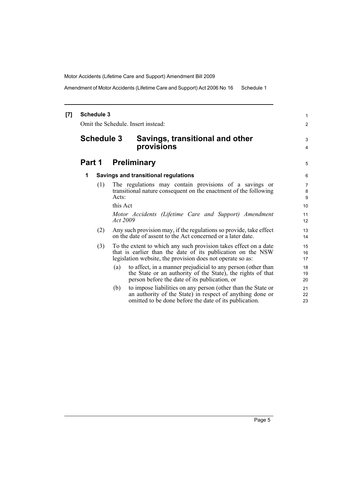Amendment of Motor Accidents (Lifetime Care and Support) Act 2006 No 16 Schedule 1

### **[7] Schedule 3** Omit the Schedule. Insert instead: **Schedule 3 Savings, transitional and other provisions Part 1 Preliminary 1 Savings and transitional regulations** (1) The regulations may contain provisions of a savings or transitional nature consequent on the enactment of the following Acts: this Act *Motor Accidents (Lifetime Care and Support) Amendment Act 2009* (2) Any such provision may, if the regulations so provide, take effect on the date of assent to the Act concerned or a later date. (3) To the extent to which any such provision takes effect on a date that is earlier than the date of its publication on the NSW legislation website, the provision does not operate so as: (a) to affect, in a manner prejudicial to any person (other than the State or an authority of the State), the rights of that person before the date of its publication, or (b) to impose liabilities on any person (other than the State or an authority of the State) in respect of anything done or omitted to be done before the date of its publication.

1 2

3 4

5